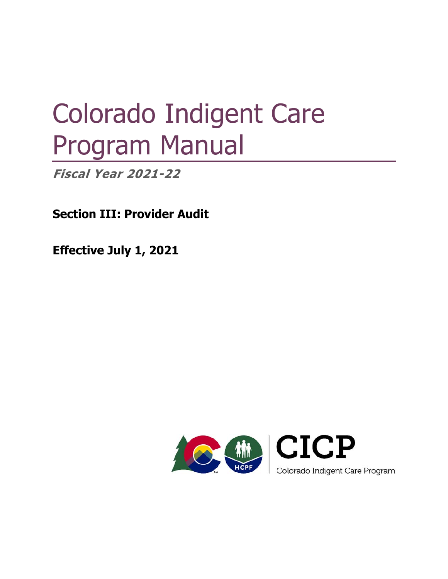# Colorado Indigent Care Program Manual

**Fiscal Year 2021-22** 

**Section III: Provider Audit** 

**Effective July 1, 2021** 

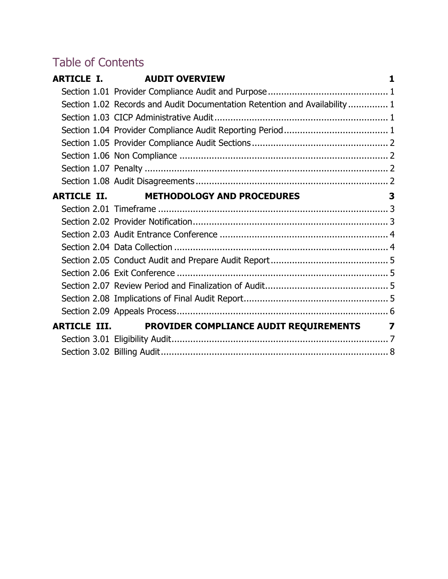# Table of Contents

|                     | <b>ARTICLE I. AUDIT OVERVIEW</b>                                           | 1 |
|---------------------|----------------------------------------------------------------------------|---|
|                     |                                                                            |   |
|                     | Section 1.02 Records and Audit Documentation Retention and Availability  1 |   |
|                     |                                                                            |   |
|                     |                                                                            |   |
|                     |                                                                            |   |
|                     |                                                                            |   |
|                     |                                                                            |   |
|                     |                                                                            |   |
| <b>ARTICLE II.</b>  | <b>METHODOLOGY AND PROCEDURES</b>                                          | 3 |
|                     |                                                                            |   |
|                     |                                                                            |   |
|                     |                                                                            |   |
|                     |                                                                            |   |
|                     |                                                                            |   |
|                     |                                                                            |   |
|                     |                                                                            |   |
|                     |                                                                            |   |
|                     |                                                                            |   |
| <b>ARTICLE III.</b> | <b>PROVIDER COMPLIANCE AUDIT REQUIREMENTS 7</b>                            |   |
|                     |                                                                            |   |
|                     |                                                                            |   |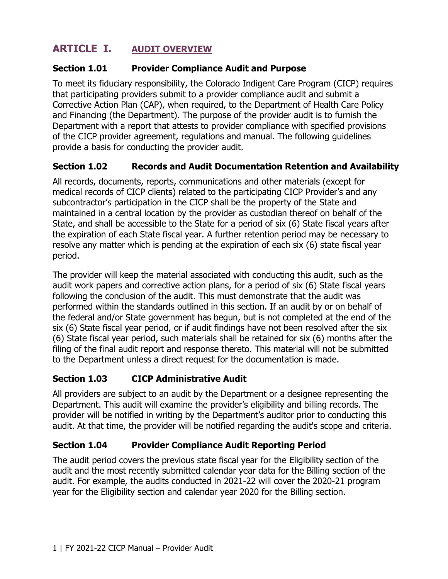# **ARTICLE I. AUDIT OVERVIEW**

#### **Section 1.01 Provider Compliance Audit and Purpose**

 provide a basis for conducting the provider audit. To meet its fiduciary responsibility, the Colorado Indigent Care Program (CICP) requires that participating providers submit to a provider compliance audit and submit a Corrective Action Plan (CAP), when required, to the Department of Health Care Policy and Financing (the Department). The purpose of the provider audit is to furnish the Department with a report that attests to provider compliance with specified provisions of the CICP provider agreement, regulations and manual. The following guidelines

#### **Section 1.02 Records and Audit Documentation Retention and Availability**

All records, documents, reports, communications and other materials (except for medical records of CICP clients) related to the participating CICP Provider's and any subcontractor's participation in the CICP shall be the property of the State and maintained in a central location by the provider as custodian thereof on behalf of the State, and shall be accessible to the State for a period of six (6) State fiscal years after the expiration of each State fiscal year. A further retention period may be necessary to resolve any matter which is pending at the expiration of each six (6) state fiscal year period.

 audit work papers and corrective action plans, for a period of six (6) State fiscal years performed within the standards outlined in this section. If an audit by or on behalf of six (6) State fiscal year period, or if audit findings have not been resolved after the six (6) State fiscal year period, such materials shall be retained for six (6) months after the filing of the final audit report and response thereto. This material will not be submitted The provider will keep the material associated with conducting this audit, such as the following the conclusion of the audit. This must demonstrate that the audit was the federal and/or State government has begun, but is not completed at the end of the to the Department unless a direct request for the documentation is made.

#### **Section 1.03 CICP Administrative Audit**

 provider will be notified in writing by the Department's auditor prior to conducting this All providers are subject to an audit by the Department or a designee representing the Department. This audit will examine the provider's eligibility and billing records. The audit. At that time, the provider will be notified regarding the audit's scope and criteria.

#### **Section 1.04 Provider Compliance Audit Reporting Period**

The audit period covers the previous state fiscal year for the Eligibility section of the audit and the most recently submitted calendar year data for the Billing section of the audit. For example, the audits conducted in 2021-22 will cover the 2020-21 program year for the Eligibility section and calendar year 2020 for the Billing section.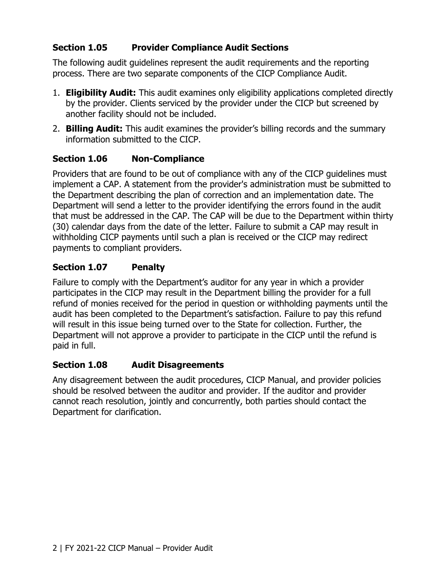#### **Section 1.05 Provider Compliance Audit Sections**

 process. There are two separate components of the CICP Compliance Audit. The following audit guidelines represent the audit requirements and the reporting

- 1. **Eligibility Audit:** This audit examines only eligibility applications completed directly by the provider. Clients serviced by the provider under the CICP but screened by another facility should not be included.
- 2. **Billing Audit:** This audit examines the provider's billing records and the summary information submitted to the CICP.

#### **Section 1.06 Non-Compliance**

Providers that are found to be out of compliance with any of the CICP guidelines must implement a CAP. A statement from the provider's administration must be submitted to the Department describing the plan of correction and an implementation date. The Department will send a letter to the provider identifying the errors found in the audit that must be addressed in the CAP. The CAP will be due to the Department within thirty (30) calendar days from the date of the letter. Failure to submit a CAP may result in withholding CICP payments until such a plan is received or the CICP may redirect payments to compliant providers.

#### **Section 1.07 Penalty**

 participates in the CICP may result in the Department billing the provider for a full audit has been completed to the Department's satisfaction. Failure to pay this refund Failure to comply with the Department's auditor for any year in which a provider refund of monies received for the period in question or withholding payments until the will result in this issue being turned over to the State for collection. Further, the Department will not approve a provider to participate in the CICP until the refund is paid in full.

#### **Section 1.08 Audit Disagreements**

 cannot reach resolution, jointly and concurrently, both parties should contact the Any disagreement between the audit procedures, CICP Manual, and provider policies should be resolved between the auditor and provider. If the auditor and provider Department for clarification.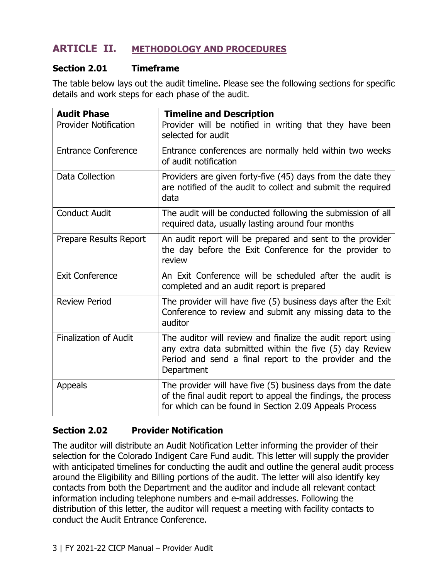# **ARTICLE II. METHODOLOGY AND PROCEDURES**

#### **Section 2.01 Timeframe**

The table below lays out the audit timeline. Please see the following sections for specific details and work steps for each phase of the audit.

| <b>Audit Phase</b>           | <b>Timeline and Description</b>                                                                                                                                                                |
|------------------------------|------------------------------------------------------------------------------------------------------------------------------------------------------------------------------------------------|
| <b>Provider Notification</b> | Provider will be notified in writing that they have been<br>selected for audit                                                                                                                 |
| <b>Entrance Conference</b>   | Entrance conferences are normally held within two weeks<br>of audit notification                                                                                                               |
| Data Collection              | Providers are given forty-five (45) days from the date they<br>are notified of the audit to collect and submit the required<br>data                                                            |
| <b>Conduct Audit</b>         | The audit will be conducted following the submission of all<br>required data, usually lasting around four months                                                                               |
| Prepare Results Report       | An audit report will be prepared and sent to the provider<br>the day before the Exit Conference for the provider to<br>review                                                                  |
| <b>Exit Conference</b>       | An Exit Conference will be scheduled after the audit is<br>completed and an audit report is prepared                                                                                           |
| <b>Review Period</b>         | The provider will have five (5) business days after the Exit<br>Conference to review and submit any missing data to the<br>auditor                                                             |
| <b>Finalization of Audit</b> | The auditor will review and finalize the audit report using<br>any extra data submitted within the five (5) day Review<br>Period and send a final report to the provider and the<br>Department |
| <b>Appeals</b>               | The provider will have five (5) business days from the date<br>of the final audit report to appeal the findings, the process<br>for which can be found in Section 2.09 Appeals Process         |

#### **Section 2.02 Provider Notification**

 with anticipated timelines for conducting the audit and outline the general audit process The auditor will distribute an Audit Notification Letter informing the provider of their selection for the Colorado Indigent Care Fund audit. This letter will supply the provider around the Eligibility and Billing portions of the audit. The letter will also identify key contacts from both the Department and the auditor and include all relevant contact information including telephone numbers and e-mail addresses. Following the distribution of this letter, the auditor will request a meeting with facility contacts to conduct the Audit Entrance Conference.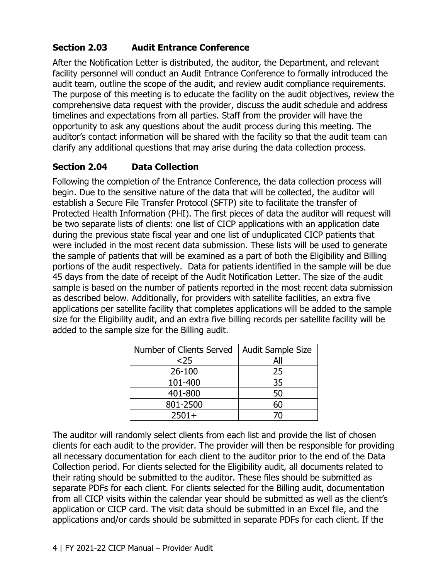# **Section 2.03 Audit Entrance Conference**

After the Notification Letter is distributed, the auditor, the Department, and relevant facility personnel will conduct an Audit Entrance Conference to formally introduced the audit team, outline the scope of the audit, and review audit compliance requirements. The purpose of this meeting is to educate the facility on the audit objectives, review the comprehensive data request with the provider, discuss the audit schedule and address timelines and expectations from all parties. Staff from the provider will have the opportunity to ask any questions about the audit process during this meeting. The auditor's contact information will be shared with the facility so that the audit team can clarify any additional questions that may arise during the data collection process.

#### **Section 2.04 Data Collection**

 begin. Due to the sensitive nature of the data that will be collected, the auditor will portions of the audit respectively. Data for patients identified in the sample will be due Following the completion of the Entrance Conference, the data collection process will establish a Secure File Transfer Protocol (SFTP) site to facilitate the transfer of Protected Health Information (PHI). The first pieces of data the auditor will request will be two separate lists of clients: one list of CICP applications with an application date during the previous state fiscal year and one list of unduplicated CICP patients that were included in the most recent data submission. These lists will be used to generate the sample of patients that will be examined as a part of both the Eligibility and Billing 45 days from the date of receipt of the Audit Notification Letter. The size of the audit sample is based on the number of patients reported in the most recent data submission as described below. Additionally, for providers with satellite facilities, an extra five applications per satellite facility that completes applications will be added to the sample size for the Eligibility audit, and an extra five billing records per satellite facility will be added to the sample size for the Billing audit.

| Number of Clients Served | <b>Audit Sample Size</b> |  |  |
|--------------------------|--------------------------|--|--|
| $25$                     | All                      |  |  |
| 26-100                   | 25                       |  |  |
| 101-400                  | 35                       |  |  |
| 401-800                  | 50                       |  |  |
| 801-2500                 | 60                       |  |  |
| $2501+$                  |                          |  |  |

The auditor will randomly select clients from each list and provide the list of chosen clients for each audit to the provider. The provider will then be responsible for providing all necessary documentation for each client to the auditor prior to the end of the Data Collection period. For clients selected for the Eligibility audit, all documents related to their rating should be submitted to the auditor. These files should be submitted as separate PDFs for each client. For clients selected for the Billing audit, documentation from all CICP visits within the calendar year should be submitted as well as the client's application or CICP card. The visit data should be submitted in an Excel file, and the applications and/or cards should be submitted in separate PDFs for each client. If the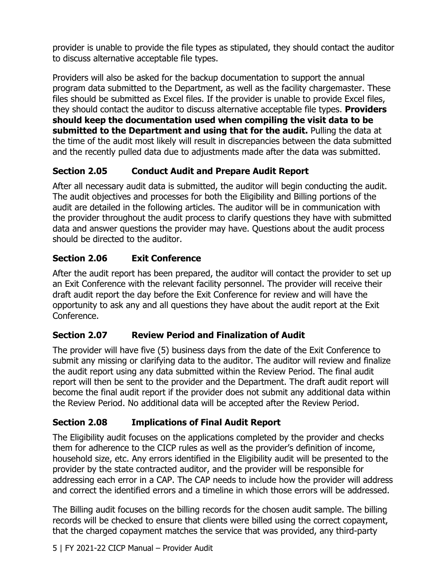provider is unable to provide the file types as stipulated, they should contact the auditor to discuss alternative acceptable file types.

 Providers will also be asked for the backup documentation to support the annual and the recently pulled data due to adjustments made after the data was submitted. program data submitted to the Department, as well as the facility chargemaster. These files should be submitted as Excel files. If the provider is unable to provide Excel files, they should contact the auditor to discuss alternative acceptable file types. **Providers should keep the documentation used when compiling the visit data to be submitted to the Department and using that for the audit.** Pulling the data at the time of the audit most likely will result in discrepancies between the data submitted

# **Section 2.05 Conduct Audit and Prepare Audit Report**

 The audit objectives and processes for both the Eligibility and Billing portions of the should be directed to the auditor. After all necessary audit data is submitted, the auditor will begin conducting the audit. audit are detailed in the following articles. The auditor will be in communication with the provider throughout the audit process to clarify questions they have with submitted data and answer questions the provider may have. Questions about the audit process

# **Section 2.06 Exit Conference**

 After the audit report has been prepared, the auditor will contact the provider to set up an Exit Conference with the relevant facility personnel. The provider will receive their draft audit report the day before the Exit Conference for review and will have the opportunity to ask any and all questions they have about the audit report at the Exit Conference.

# **Section 2.07 Review Period and Finalization of Audit**

 The provider will have five (5) business days from the date of the Exit Conference to submit any missing or clarifying data to the auditor. The auditor will review and finalize the audit report using any data submitted within the Review Period. The final audit report will then be sent to the provider and the Department. The draft audit report will become the final audit report if the provider does not submit any additional data within the Review Period. No additional data will be accepted after the Review Period.

# **Section 2.08 Implications of Final Audit Report**

The Eligibility audit focuses on the applications completed by the provider and checks them for adherence to the CICP rules as well as the provider's definition of income, household size, etc. Any errors identified in the Eligibility audit will be presented to the provider by the state contracted auditor, and the provider will be responsible for addressing each error in a CAP. The CAP needs to include how the provider will address and correct the identified errors and a timeline in which those errors will be addressed.

 The Billing audit focuses on the billing records for the chosen audit sample. The billing records will be checked to ensure that clients were billed using the correct copayment, that the charged copayment matches the service that was provided, any third-party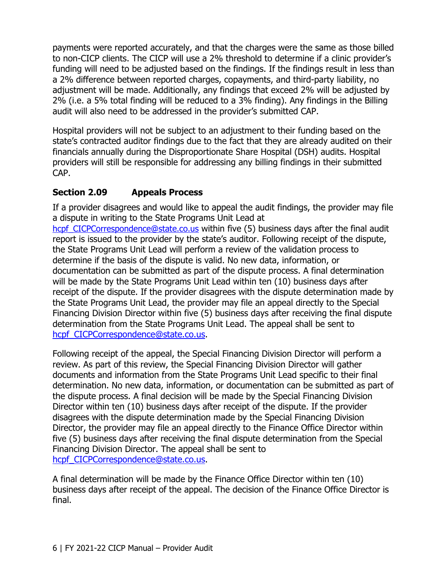funding will need to be adjusted based on the findings. If the findings result in less than payments were reported accurately, and that the charges were the same as those billed to non-CICP clients. The CICP will use a 2% threshold to determine if a clinic provider's a 2% difference between reported charges, copayments, and third-party liability, no adjustment will be made. Additionally, any findings that exceed 2% will be adjusted by 2% (i.e. a 5% total finding will be reduced to a 3% finding). Any findings in the Billing audit will also need to be addressed in the provider's submitted CAP.

 state's contracted auditor findings due to the fact that they are already audited on their financials annually during the Disproportionate Share Hospital (DSH) audits. Hospital Hospital providers will not be subject to an adjustment to their funding based on the providers will still be responsible for addressing any billing findings in their submitted CAP.

#### **Section 2.09 Appeals Process**

 the State Programs Unit Lead will perform a review of the validation process to If a provider disagrees and would like to appeal the audit findings, the provider may file a dispute in writing to the State Programs Unit Lead at hcpf CICPCorrespondence@state.co.us within five (5) business days after the final audit report is issued to the provider by the state's auditor. Following receipt of the dispute, determine if the basis of the dispute is valid. No new data, information, or documentation can be submitted as part of the dispute process. A final determination will be made by the State Programs Unit Lead within ten (10) business days after receipt of the dispute. If the provider disagrees with the dispute determination made by the State Programs Unit Lead, the provider may file an appeal directly to the Special Financing Division Director within five (5) business days after receiving the final dispute determination from the State Programs Unit Lead. The appeal shall be sent to hcpf\_CICPCorrespondence@state.co.us.

Following receipt of the appeal, the Special Financing Division Director will perform a review. As part of this review, the Special Financing Division Director will gather documents and information from the State Programs Unit Lead specific to their final determination. No new data, information, or documentation can be submitted as part of the dispute process. A final decision will be made by the Special Financing Division Director within ten (10) business days after receipt of the dispute. If the provider disagrees with the dispute determination made by the Special Financing Division Director, the provider may file an appeal directly to the Finance Office Director within five (5) business days after receiving the final dispute determination from the Special Financing Division Director. The appeal shall be sent to hcpf CICPCorrespondence@state.co.us.

A final determination will be made by the Finance Office Director within ten (10) business days after receipt of the appeal. The decision of the Finance Office Director is final.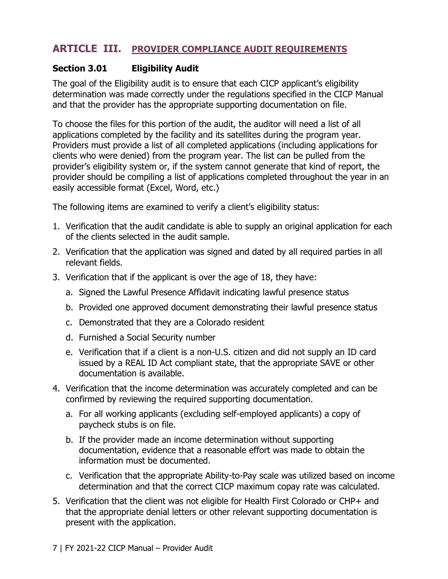# **ARTICLE III. PROVIDER COMPLIANCE AUDIT REQUIREMENTS**

#### **Section 3.01 Eligibility Audit**

 determination was made correctly under the regulations specified in the CICP Manual and that the provider has the appropriate supporting documentation on file. The goal of the Eligibility audit is to ensure that each CICP applicant's eligibility

 Providers must provide a list of all completed applications (including applications for provider's eligibility system or, if the system cannot generate that kind of report, the provider should be compiling a list of applications completed throughout the year in an To choose the files for this portion of the audit, the auditor will need a list of all applications completed by the facility and its satellites during the program year. clients who were denied) from the program year. The list can be pulled from the easily accessible format (Excel, Word, etc.)

The following items are examined to verify a client's eligibility status:

- of the clients selected in the audit sample. 1. Verification that the audit candidate is able to supply an original application for each
- 2. Verification that the application was signed and dated by all required parties in all relevant fields.
- 3. Verification that if the applicant is over the age of 18, they have:
	- a. Signed the Lawful Presence Affidavit indicating lawful presence status
	- b. Provided one approved document demonstrating their lawful presence status
	- c. Demonstrated that they are a Colorado resident
	- d. Furnished a Social Security number
	- e. Verification that if a client is a non-U.S. citizen and did not supply an ID card issued by a REAL ID Act compliant state, that the appropriate SAVE or other documentation is available.
- 4. Verification that the income determination was accurately completed and can be confirmed by reviewing the required supporting documentation.
	- a. For all working applicants (excluding self-employed applicants) a copy of paycheck stubs is on file.
	- b. If the provider made an income determination without supporting documentation, evidence that a reasonable effort was made to obtain the information must be documented.
	- c. Verification that the appropriate Ability-to-Pay scale was utilized based on income determination and that the correct CICP maximum copay rate was calculated.
- 5. Verification that the client was not eligible for Health First Colorado or CHP+ and that the appropriate denial letters or other relevant supporting documentation is present with the application.